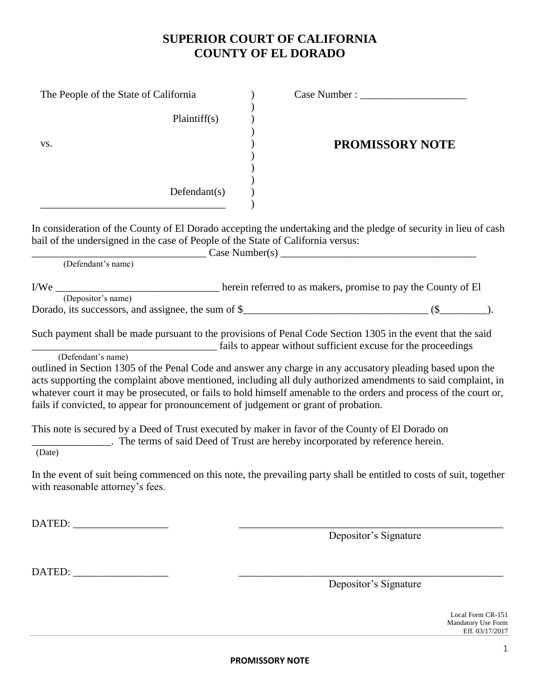## **SUPERIOR COURT OF CALIFORNIA COUNTY OF EL DORADO**

| The People of the State of California                                                                     |                                                                                                                                                                                                                                                                                                                                                  |  |
|-----------------------------------------------------------------------------------------------------------|--------------------------------------------------------------------------------------------------------------------------------------------------------------------------------------------------------------------------------------------------------------------------------------------------------------------------------------------------|--|
| Plaintiff(s)                                                                                              |                                                                                                                                                                                                                                                                                                                                                  |  |
| VS.                                                                                                       | <b>PROMISSORY NOTE</b>                                                                                                                                                                                                                                                                                                                           |  |
| Defendant(s)                                                                                              |                                                                                                                                                                                                                                                                                                                                                  |  |
| bail of the undersigned in the case of People of the State of California versus:                          | In consideration of the County of El Dorado accepting the undertaking and the pledge of security in lieu of cash<br>Case Number(s)                                                                                                                                                                                                               |  |
| (Defendant's name)                                                                                        |                                                                                                                                                                                                                                                                                                                                                  |  |
| (Depositor's name)                                                                                        |                                                                                                                                                                                                                                                                                                                                                  |  |
|                                                                                                           | Such payment shall be made pursuant to the provisions of Penal Code Section 1305 in the event that the said<br>rails to appear without sufficient excuse for the proceedings                                                                                                                                                                     |  |
| (Defendant's name)<br>fails if convicted, to appear for pronouncement of judgement or grant of probation. | outlined in Section 1305 of the Penal Code and answer any charge in any accusatory pleading based upon the<br>acts supporting the complaint above mentioned, including all duly authorized amendments to said complaint, in<br>whatever court it may be prosecuted, or fails to hold himself amenable to the orders and process of the court or, |  |
|                                                                                                           | This note is secured by a Deed of Trust executed by maker in favor of the County of El Dorado on<br>The terms of said Deed of Trust are hereby incorporated by reference herein.                                                                                                                                                                 |  |
| (Date)                                                                                                    |                                                                                                                                                                                                                                                                                                                                                  |  |
| with reasonable attorney's fees.                                                                          | In the event of suit being commenced on this note, the prevailing party shall be entitled to costs of suit, together                                                                                                                                                                                                                             |  |
| DATED: ____________________                                                                               | Depositor's Signature                                                                                                                                                                                                                                                                                                                            |  |

DATED: \_\_\_\_\_\_\_\_\_\_\_\_\_\_\_\_\_\_ \_\_\_\_\_\_\_\_\_\_\_\_\_\_\_\_\_\_\_\_\_\_\_\_\_\_\_\_\_\_\_\_\_\_\_\_\_\_\_\_\_\_\_\_\_\_\_\_\_\_

Depositor's Signature

Local Form CR-151 Mandatory Use Form Eff. 03/17/2017